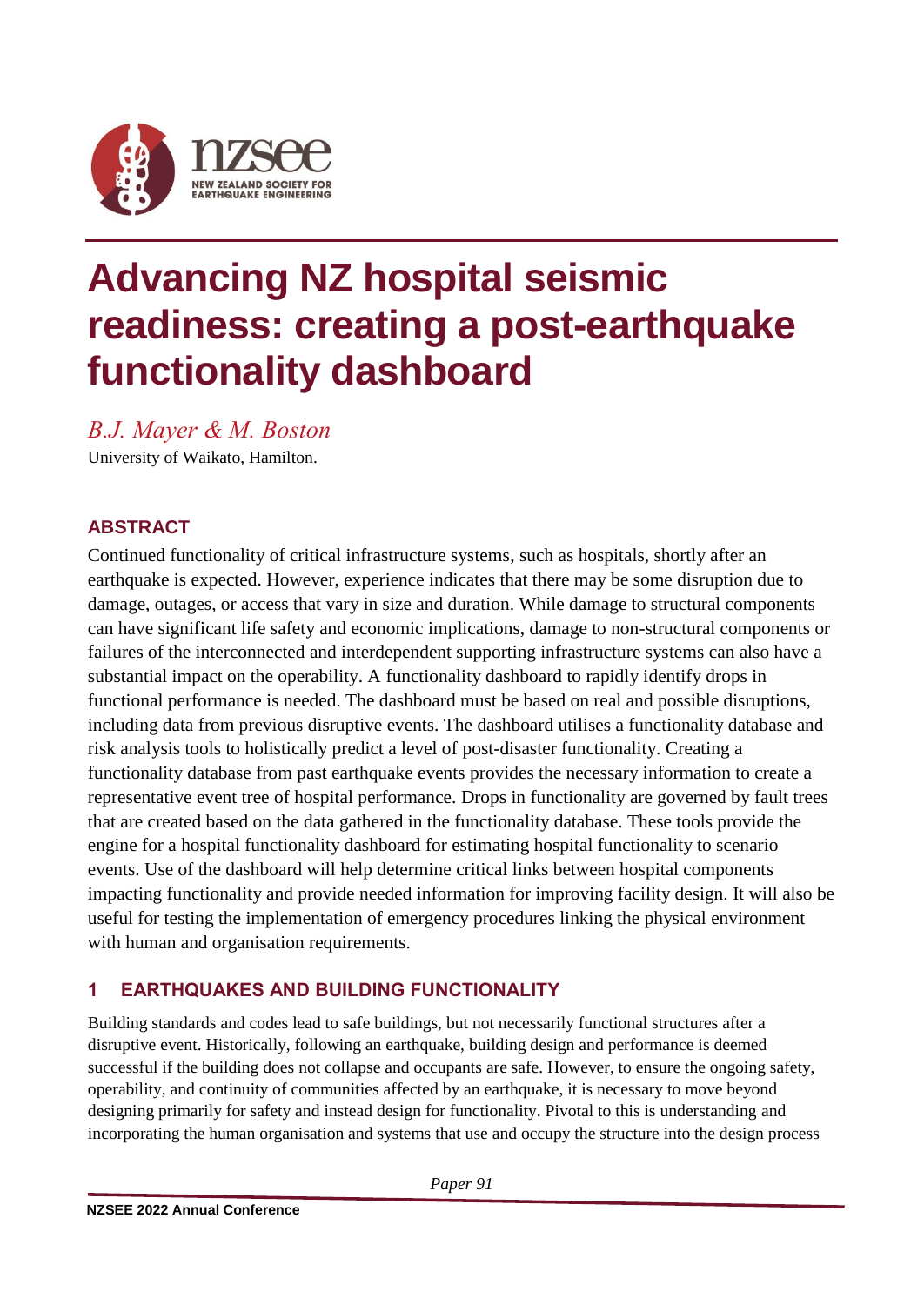

# **Advancing NZ hospital seismic readiness: creating a post-earthquake functionality dashboard**

*B.J. Mayer & M. Boston*

University of Waikato, Hamilton.

## **ABSTRACT**

Continued functionality of critical infrastructure systems, such as hospitals, shortly after an earthquake is expected. However, experience indicates that there may be some disruption due to damage, outages, or access that vary in size and duration. While damage to structural components can have significant life safety and economic implications, damage to non-structural components or failures of the interconnected and interdependent supporting infrastructure systems can also have a substantial impact on the operability. A functionality dashboard to rapidly identify drops in functional performance is needed. The dashboard must be based on real and possible disruptions, including data from previous disruptive events. The dashboard utilises a functionality database and risk analysis tools to holistically predict a level of post-disaster functionality. Creating a functionality database from past earthquake events provides the necessary information to create a representative event tree of hospital performance. Drops in functionality are governed by fault trees that are created based on the data gathered in the functionality database. These tools provide the engine for a hospital functionality dashboard for estimating hospital functionality to scenario events. Use of the dashboard will help determine critical links between hospital components impacting functionality and provide needed information for improving facility design. It will also be useful for testing the implementation of emergency procedures linking the physical environment with human and organisation requirements.

## **1 EARTHQUAKES AND BUILDING FUNCTIONALITY**

Building standards and codes lead to safe buildings, but not necessarily functional structures after a disruptive event. Historically, following an earthquake, building design and performance is deemed successful if the building does not collapse and occupants are safe. However, to ensure the ongoing safety, operability, and continuity of communities affected by an earthquake, it is necessary to move beyond designing primarily for safety and instead design for functionality. Pivotal to this is understanding and incorporating the human organisation and systems that use and occupy the structure into the design process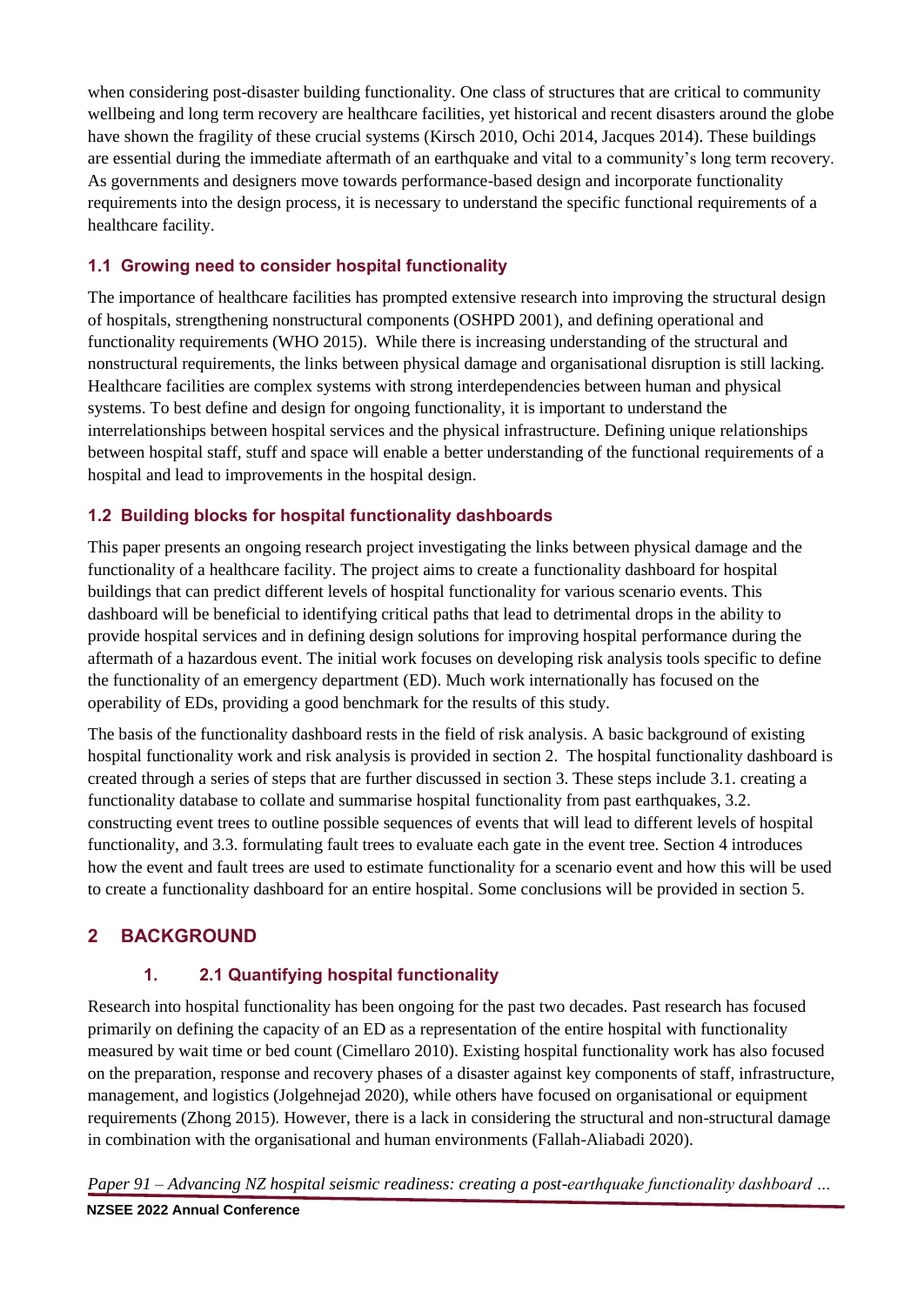when considering post-disaster building functionality. One class of structures that are critical to community wellbeing and long term recovery are healthcare facilities, yet historical and recent disasters around the globe have shown the fragility of these crucial systems (Kirsch 2010, Ochi 2014, Jacques 2014). These buildings are essential during the immediate aftermath of an earthquake and vital to a community's long term recovery. As governments and designers move towards performance-based design and incorporate functionality requirements into the design process, it is necessary to understand the specific functional requirements of a healthcare facility.

## **1.1 Growing need to consider hospital functionality**

The importance of healthcare facilities has prompted extensive research into improving the structural design of hospitals, strengthening nonstructural components (OSHPD 2001), and defining operational and functionality requirements (WHO 2015). While there is increasing understanding of the structural and nonstructural requirements, the links between physical damage and organisational disruption is still lacking. Healthcare facilities are complex systems with strong interdependencies between human and physical systems. To best define and design for ongoing functionality, it is important to understand the interrelationships between hospital services and the physical infrastructure. Defining unique relationships between hospital staff, stuff and space will enable a better understanding of the functional requirements of a hospital and lead to improvements in the hospital design.

## **1.2 Building blocks for hospital functionality dashboards**

This paper presents an ongoing research project investigating the links between physical damage and the functionality of a healthcare facility. The project aims to create a functionality dashboard for hospital buildings that can predict different levels of hospital functionality for various scenario events. This dashboard will be beneficial to identifying critical paths that lead to detrimental drops in the ability to provide hospital services and in defining design solutions for improving hospital performance during the aftermath of a hazardous event. The initial work focuses on developing risk analysis tools specific to define the functionality of an emergency department (ED). Much work internationally has focused on the operability of EDs, providing a good benchmark for the results of this study.

The basis of the functionality dashboard rests in the field of risk analysis. A basic background of existing hospital functionality work and risk analysis is provided in section 2. The hospital functionality dashboard is created through a series of steps that are further discussed in section 3. These steps include 3.1. creating a functionality database to collate and summarise hospital functionality from past earthquakes, 3.2. constructing event trees to outline possible sequences of events that will lead to different levels of hospital functionality, and 3.3. formulating fault trees to evaluate each gate in the event tree. Section 4 introduces how the event and fault trees are used to estimate functionality for a scenario event and how this will be used to create a functionality dashboard for an entire hospital. Some conclusions will be provided in section 5.

# **2 BACKGROUND**

## **1. 2.1 Quantifying hospital functionality**

Research into hospital functionality has been ongoing for the past two decades. Past research has focused primarily on defining the capacity of an ED as a representation of the entire hospital with functionality measured by wait time or bed count (Cimellaro 2010). Existing hospital functionality work has also focused on the preparation, response and recovery phases of a disaster against key components of staff, infrastructure, management, and logistics (Jolgehnejad 2020), while others have focused on organisational or equipment requirements (Zhong 2015). However, there is a lack in considering the structural and non-structural damage in combination with the organisational and human environments (Fallah-Aliabadi 2020).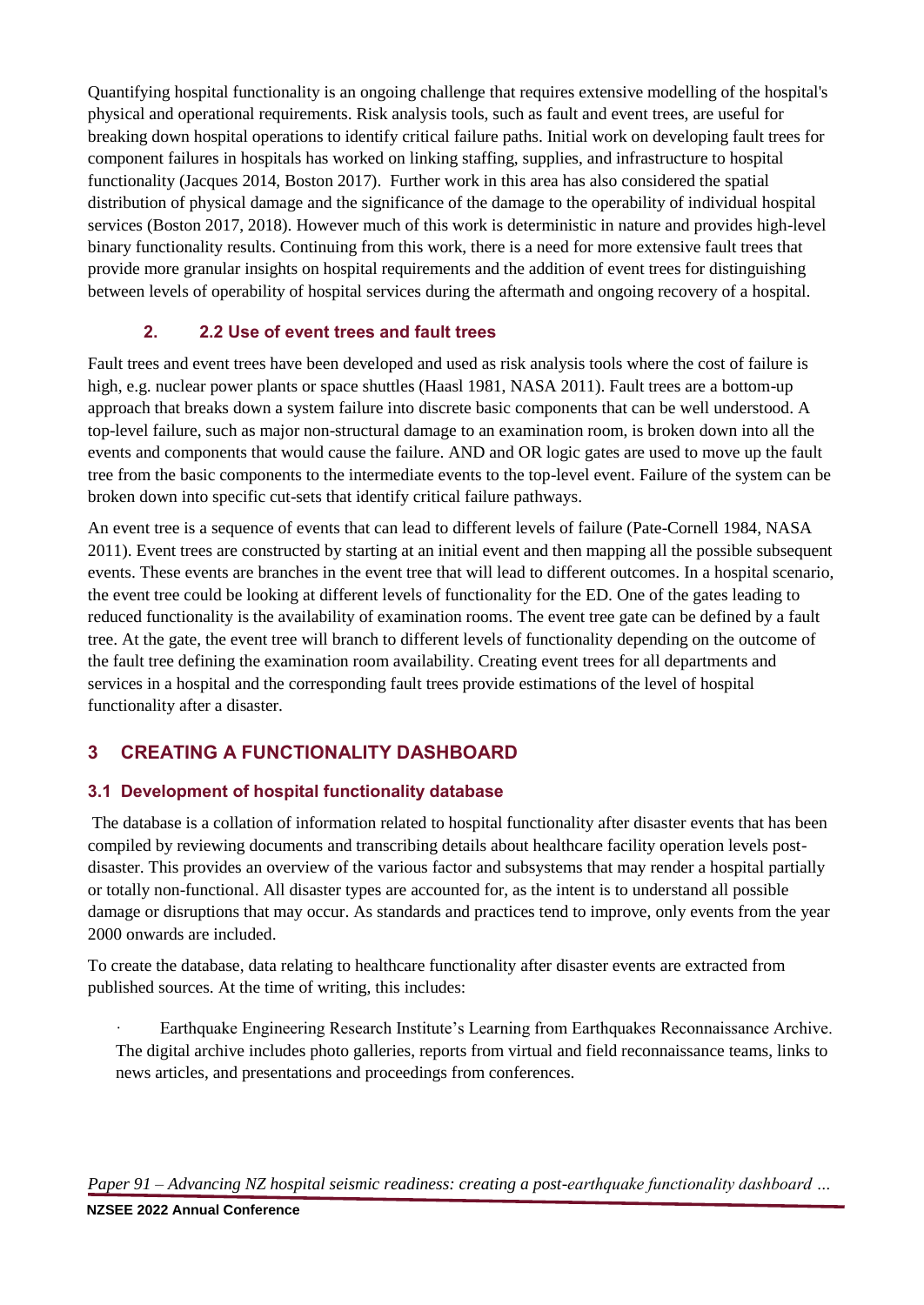Quantifying hospital functionality is an ongoing challenge that requires extensive modelling of the hospital's physical and operational requirements. Risk analysis tools, such as fault and event trees, are useful for breaking down hospital operations to identify critical failure paths. Initial work on developing fault trees for component failures in hospitals has worked on linking staffing, supplies, and infrastructure to hospital functionality (Jacques 2014, Boston 2017). Further work in this area has also considered the spatial distribution of physical damage and the significance of the damage to the operability of individual hospital services (Boston 2017, 2018). However much of this work is deterministic in nature and provides high-level binary functionality results. Continuing from this work, there is a need for more extensive fault trees that provide more granular insights on hospital requirements and the addition of event trees for distinguishing between levels of operability of hospital services during the aftermath and ongoing recovery of a hospital.

## **2. 2.2 Use of event trees and fault trees**

Fault trees and event trees have been developed and used as risk analysis tools where the cost of failure is high, e.g. nuclear power plants or space shuttles (Haasl 1981, NASA 2011). Fault trees are a bottom-up approach that breaks down a system failure into discrete basic components that can be well understood. A top-level failure, such as major non-structural damage to an examination room, is broken down into all the events and components that would cause the failure. AND and OR logic gates are used to move up the fault tree from the basic components to the intermediate events to the top-level event. Failure of the system can be broken down into specific cut-sets that identify critical failure pathways.

An event tree is a sequence of events that can lead to different levels of failure (Pate-Cornell 1984, NASA 2011). Event trees are constructed by starting at an initial event and then mapping all the possible subsequent events. These events are branches in the event tree that will lead to different outcomes. In a hospital scenario, the event tree could be looking at different levels of functionality for the ED. One of the gates leading to reduced functionality is the availability of examination rooms. The event tree gate can be defined by a fault tree. At the gate, the event tree will branch to different levels of functionality depending on the outcome of the fault tree defining the examination room availability. Creating event trees for all departments and services in a hospital and the corresponding fault trees provide estimations of the level of hospital functionality after a disaster.

# **3 CREATING A FUNCTIONALITY DASHBOARD**

## **3.1 Development of hospital functionality database**

The database is a collation of information related to hospital functionality after disaster events that has been compiled by reviewing documents and transcribing details about healthcare facility operation levels postdisaster. This provides an overview of the various factor and subsystems that may render a hospital partially or totally non-functional. All disaster types are accounted for, as the intent is to understand all possible damage or disruptions that may occur. As standards and practices tend to improve, only events from the year 2000 onwards are included.

To create the database, data relating to healthcare functionality after disaster events are extracted from published sources. At the time of writing, this includes:

Earthquake Engineering Research Institute's Learning from Earthquakes Reconnaissance Archive. The digital archive includes photo galleries, reports from virtual and field reconnaissance teams, links to news articles, and presentations and proceedings from conferences.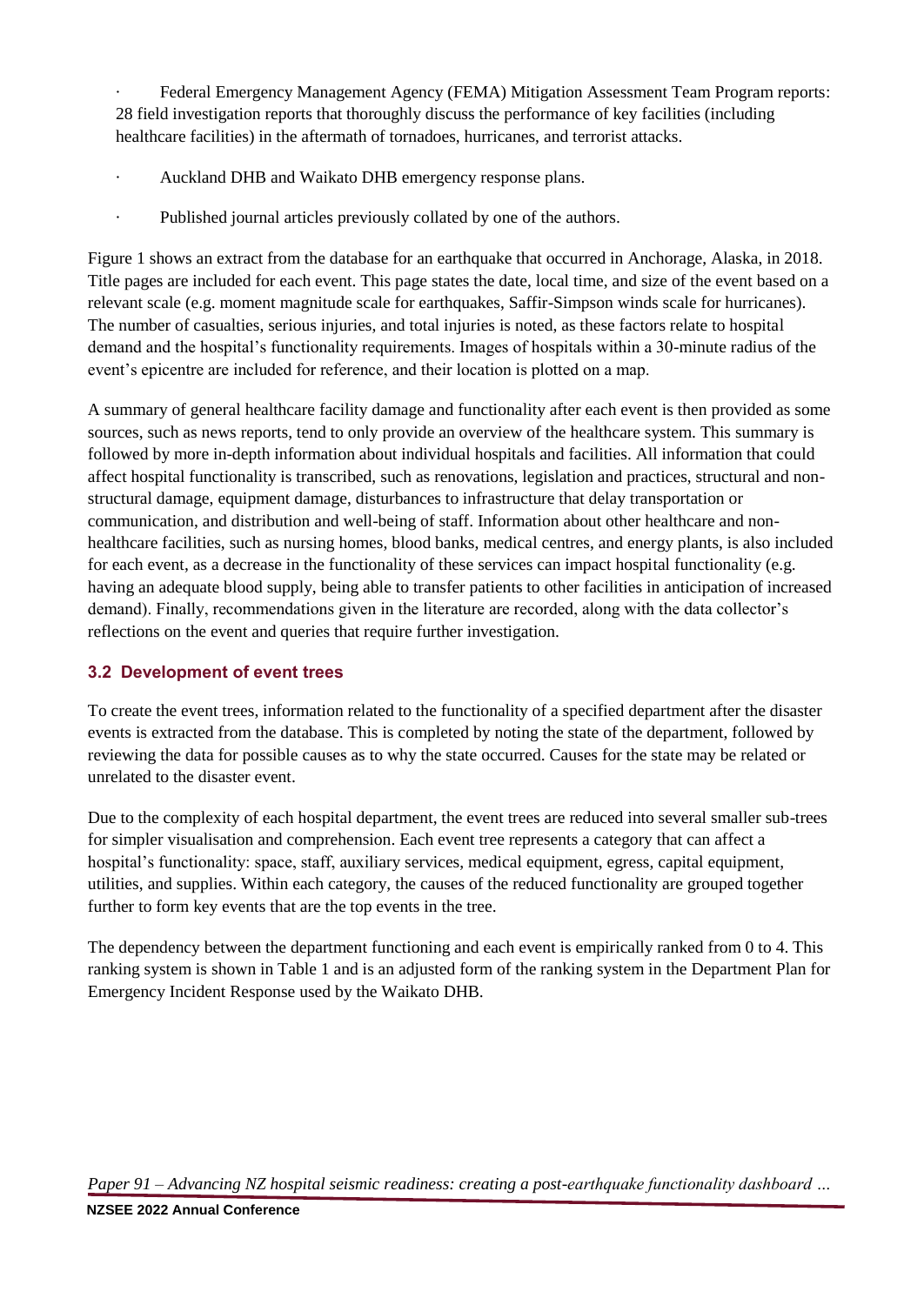Federal Emergency Management Agency (FEMA) Mitigation Assessment Team Program reports: 28 field investigation reports that thoroughly discuss the performance of key facilities (including healthcare facilities) in the aftermath of tornadoes, hurricanes, and terrorist attacks.

- · Auckland DHB and Waikato DHB emergency response plans.
- · Published journal articles previously collated by one of the authors.

Figure 1 shows an extract from the database for an earthquake that occurred in Anchorage, Alaska, in 2018. Title pages are included for each event. This page states the date, local time, and size of the event based on a relevant scale (e.g. moment magnitude scale for earthquakes, Saffir-Simpson winds scale for hurricanes). The number of casualties, serious injuries, and total injuries is noted, as these factors relate to hospital demand and the hospital's functionality requirements. Images of hospitals within a 30-minute radius of the event's epicentre are included for reference, and their location is plotted on a map.

A summary of general healthcare facility damage and functionality after each event is then provided as some sources, such as news reports, tend to only provide an overview of the healthcare system. This summary is followed by more in-depth information about individual hospitals and facilities. All information that could affect hospital functionality is transcribed, such as renovations, legislation and practices, structural and nonstructural damage, equipment damage, disturbances to infrastructure that delay transportation or communication, and distribution and well-being of staff. Information about other healthcare and nonhealthcare facilities, such as nursing homes, blood banks, medical centres, and energy plants, is also included for each event, as a decrease in the functionality of these services can impact hospital functionality (e.g. having an adequate blood supply, being able to transfer patients to other facilities in anticipation of increased demand). Finally, recommendations given in the literature are recorded, along with the data collector's reflections on the event and queries that require further investigation.

## **3.2 Development of event trees**

To create the event trees, information related to the functionality of a specified department after the disaster events is extracted from the database. This is completed by noting the state of the department, followed by reviewing the data for possible causes as to why the state occurred. Causes for the state may be related or unrelated to the disaster event.

Due to the complexity of each hospital department, the event trees are reduced into several smaller sub-trees for simpler visualisation and comprehension. Each event tree represents a category that can affect a hospital's functionality: space, staff, auxiliary services, medical equipment, egress, capital equipment, utilities, and supplies. Within each category, the causes of the reduced functionality are grouped together further to form key events that are the top events in the tree.

The dependency between the department functioning and each event is empirically ranked from 0 to 4. This ranking system is shown in Table 1 and is an adjusted form of the ranking system in the Department Plan for Emergency Incident Response used by the Waikato DHB.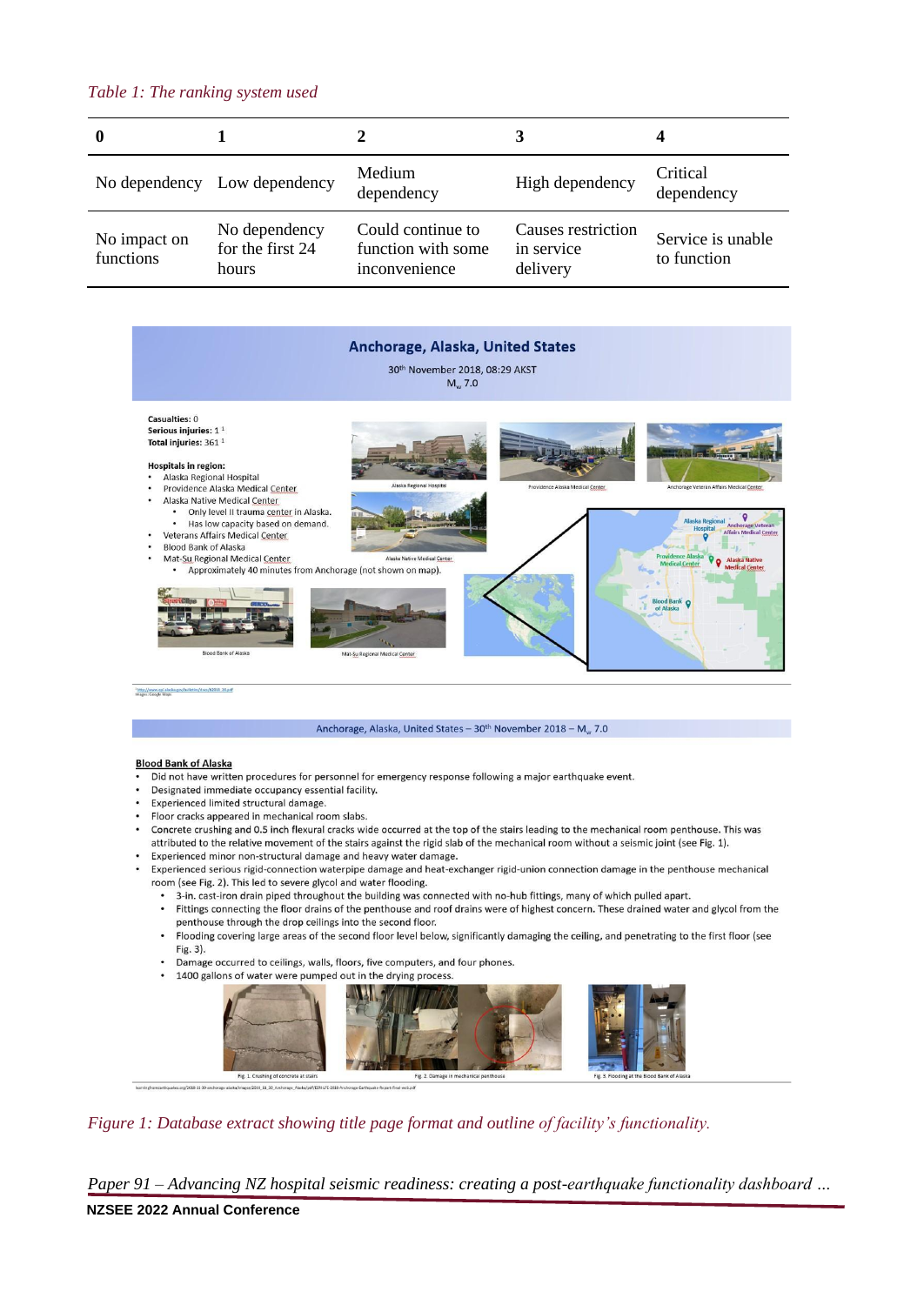## *Table 1: The ranking system used*

| 0                         |                                            |                                                          |                                              |                                  |
|---------------------------|--------------------------------------------|----------------------------------------------------------|----------------------------------------------|----------------------------------|
|                           | No dependency Low dependency               | Medium<br>dependency                                     | High dependency                              | Critical<br>dependency           |
| No impact on<br>functions | No dependency<br>for the first 24<br>hours | Could continue to<br>function with some<br>inconvenience | Causes restriction<br>in service<br>delivery | Service is unable<br>to function |



/b2018 20.pd Mtp://www.epi.ala

#### Anchorage, Alaska, United States - 30<sup>th</sup> November 2018 - M<sub>w</sub> 7.0

#### **Blood Bank of Alaska**

- Did not have written procedures for personnel for emergency response following a major earthquake event.
- Designated immediate occupancy essential facility.
- Experienced limited structural damage.
- Floor cracks appeared in mechanical room slabs.
- Concrete crushing and 0.5 inch flexural cracks wide occurred at the top of the stairs leading to the mechanical room penthouse. This was attributed to the relative movement of the stairs against the rigid slab of the mechanical room without a seismic joint (see Fig. 1).
- Experienced minor non-structural damage and heavy water damage.
- Experienced serious rigid-connection waterpipe damage and heat-exchanger rigid-union connection damage in the penthouse mechanical room (see Fig. 2). This led to severe glycol and water flooding.
	- 3-in. cast-iron drain piped throughout the building was connected with no-hub fittings, many of which pulled apart.
	- Fittings connecting the floor drains of the penthouse and roof drains were of highest concern. These drained water and glycol from the penthouse through the drop ceilings into the second floor.
	- Flooding covering large areas of the second floor level below, significantly damaging the ceiling, and penetrating to the first floor (see Fig. 3).
	- Damage occurred to ceilings, walls, floors, five computers, and four phones.
	- 1400 gallons of water were pumped out in the drying process.



*Figure 1: Database extract showing title page format and outline of facility's functionality.*

*Paper 91 – Advancing NZ hospital seismic readiness: creating a post-earthquake functionality dashboard …*

### **NZSEE 2022 Annual Conference**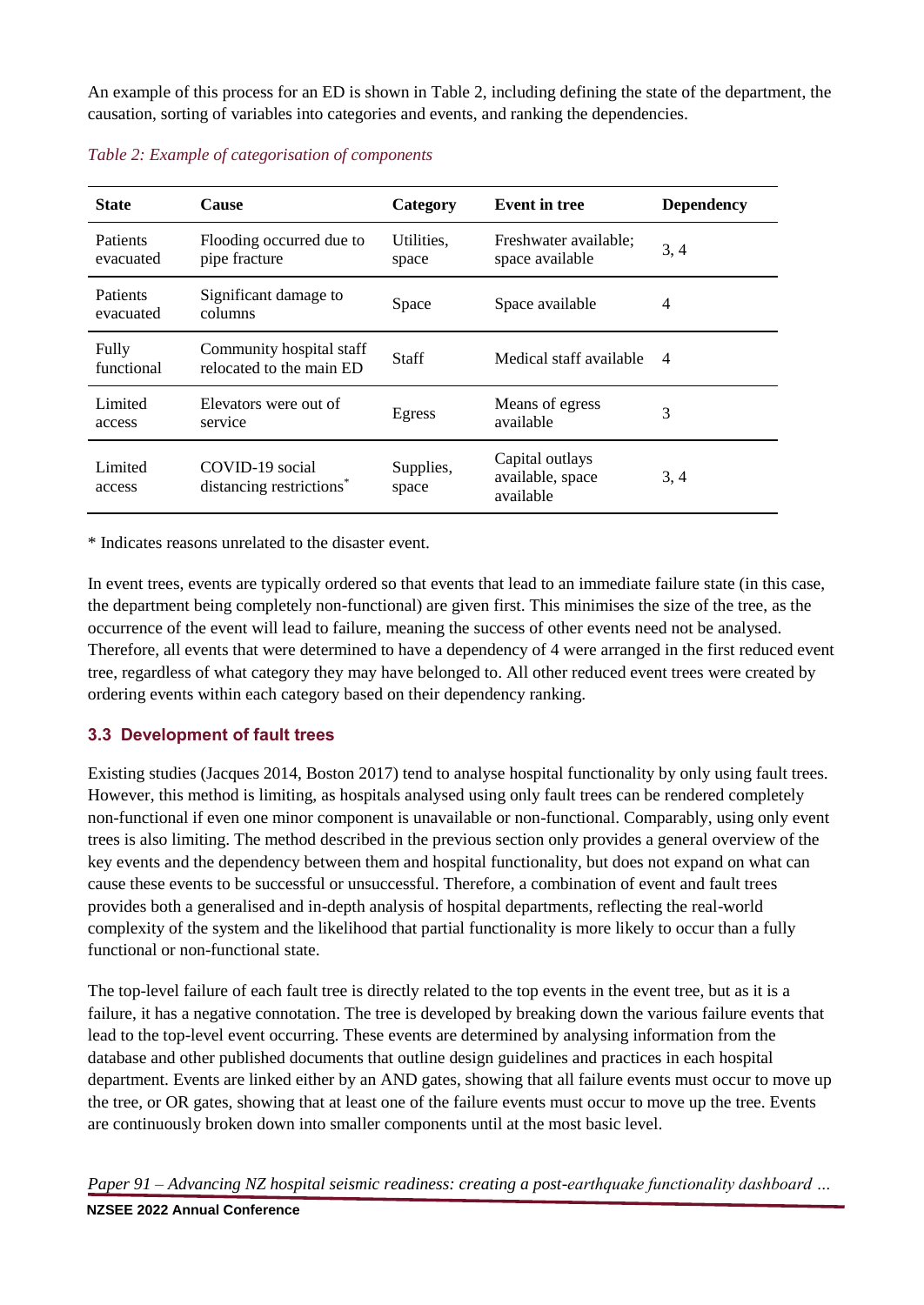An example of this process for an ED is shown in Table 2, including defining the state of the department, the causation, sorting of variables into categories and events, and ranking the dependencies.

| <b>State</b>          | <b>Cause</b>                                            | Category            | <b>Event in tree</b>                             | <b>Dependency</b> |
|-----------------------|---------------------------------------------------------|---------------------|--------------------------------------------------|-------------------|
| Patients<br>evacuated | Flooding occurred due to<br>pipe fracture               | Utilities,<br>space | Freshwater available;<br>space available         | 3, 4              |
| Patients<br>evacuated | Significant damage to<br>columns                        | Space               | Space available                                  | $\overline{4}$    |
| Fully<br>functional   | Community hospital staff<br>relocated to the main ED    | <b>Staff</b>        | Medical staff available                          | $\overline{4}$    |
| Limited<br>access     | Elevators were out of<br>service                        | Egress              | Means of egress<br>available                     | 3                 |
| Limited<br>access     | COVID-19 social<br>distancing restrictions <sup>*</sup> | Supplies,<br>space  | Capital outlays<br>available, space<br>available | 3, 4              |

*Table 2: Example of categorisation of components*

\* Indicates reasons unrelated to the disaster event.

In event trees, events are typically ordered so that events that lead to an immediate failure state (in this case, the department being completely non-functional) are given first. This minimises the size of the tree, as the occurrence of the event will lead to failure, meaning the success of other events need not be analysed. Therefore, all events that were determined to have a dependency of 4 were arranged in the first reduced event tree, regardless of what category they may have belonged to. All other reduced event trees were created by ordering events within each category based on their dependency ranking.

## **3.3 Development of fault trees**

Existing studies (Jacques 2014, Boston 2017) tend to analyse hospital functionality by only using fault trees. However, this method is limiting, as hospitals analysed using only fault trees can be rendered completely non-functional if even one minor component is unavailable or non-functional. Comparably, using only event trees is also limiting. The method described in the previous section only provides a general overview of the key events and the dependency between them and hospital functionality, but does not expand on what can cause these events to be successful or unsuccessful. Therefore, a combination of event and fault trees provides both a generalised and in-depth analysis of hospital departments, reflecting the real-world complexity of the system and the likelihood that partial functionality is more likely to occur than a fully functional or non-functional state.

The top-level failure of each fault tree is directly related to the top events in the event tree, but as it is a failure, it has a negative connotation. The tree is developed by breaking down the various failure events that lead to the top-level event occurring. These events are determined by analysing information from the database and other published documents that outline design guidelines and practices in each hospital department. Events are linked either by an AND gates, showing that all failure events must occur to move up the tree, or OR gates, showing that at least one of the failure events must occur to move up the tree. Events are continuously broken down into smaller components until at the most basic level.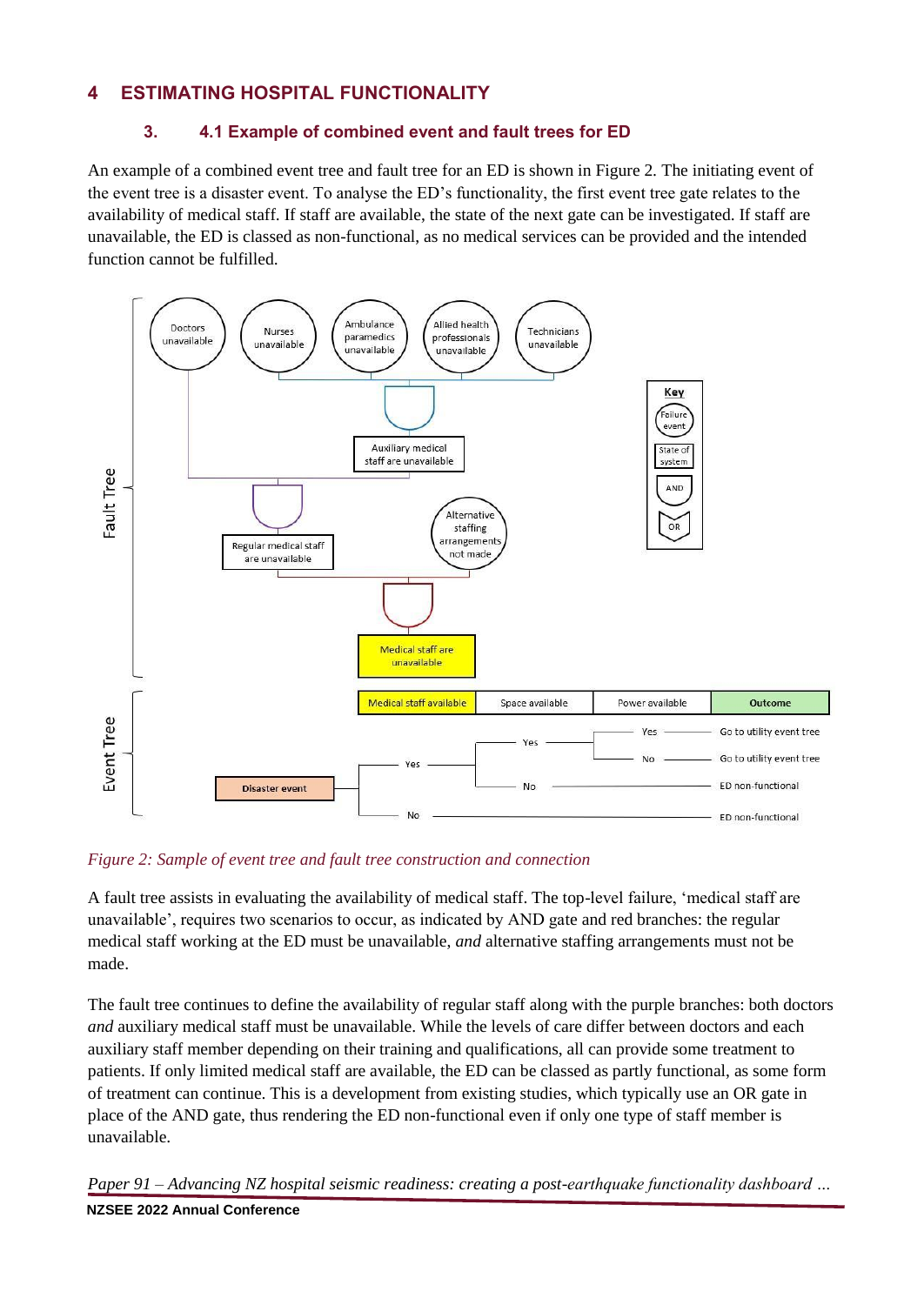## **4 ESTIMATING HOSPITAL FUNCTIONALITY**

## **3. 4.1 Example of combined event and fault trees for ED**

An example of a combined event tree and fault tree for an ED is shown in Figure 2. The initiating event of the event tree is a disaster event. To analyse the ED's functionality, the first event tree gate relates to the availability of medical staff. If staff are available, the state of the next gate can be investigated. If staff are unavailable, the ED is classed as non-functional, as no medical services can be provided and the intended function cannot be fulfilled.



*Figure 2: Sample of event tree and fault tree construction and connection*

A fault tree assists in evaluating the availability of medical staff. The top-level failure, 'medical staff are unavailable', requires two scenarios to occur, as indicated by AND gate and red branches: the regular medical staff working at the ED must be unavailable, *and* alternative staffing arrangements must not be made.

The fault tree continues to define the availability of regular staff along with the purple branches: both doctors *and* auxiliary medical staff must be unavailable. While the levels of care differ between doctors and each auxiliary staff member depending on their training and qualifications, all can provide some treatment to patients. If only limited medical staff are available, the ED can be classed as partly functional, as some form of treatment can continue. This is a development from existing studies, which typically use an OR gate in place of the AND gate, thus rendering the ED non-functional even if only one type of staff member is unavailable.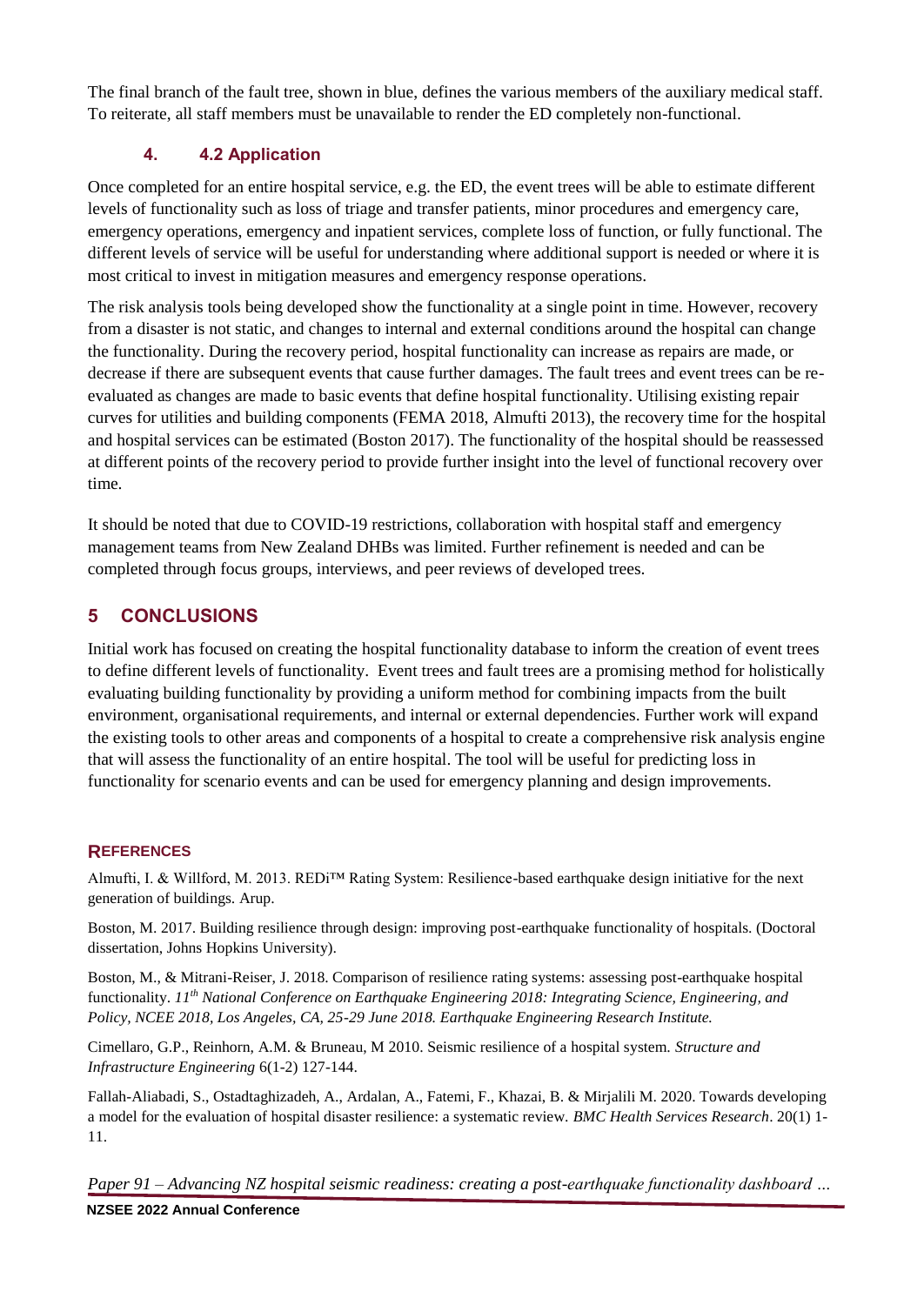The final branch of the fault tree, shown in blue, defines the various members of the auxiliary medical staff. To reiterate, all staff members must be unavailable to render the ED completely non-functional.

## **4. 4.2 Application**

Once completed for an entire hospital service, e.g. the ED, the event trees will be able to estimate different levels of functionality such as loss of triage and transfer patients, minor procedures and emergency care, emergency operations, emergency and inpatient services, complete loss of function, or fully functional. The different levels of service will be useful for understanding where additional support is needed or where it is most critical to invest in mitigation measures and emergency response operations.

The risk analysis tools being developed show the functionality at a single point in time. However, recovery from a disaster is not static, and changes to internal and external conditions around the hospital can change the functionality. During the recovery period, hospital functionality can increase as repairs are made, or decrease if there are subsequent events that cause further damages. The fault trees and event trees can be reevaluated as changes are made to basic events that define hospital functionality. Utilising existing repair curves for utilities and building components (FEMA 2018, Almufti 2013), the recovery time for the hospital and hospital services can be estimated (Boston 2017). The functionality of the hospital should be reassessed at different points of the recovery period to provide further insight into the level of functional recovery over time.

It should be noted that due to COVID-19 restrictions, collaboration with hospital staff and emergency management teams from New Zealand DHBs was limited. Further refinement is needed and can be completed through focus groups, interviews, and peer reviews of developed trees.

## **5 CONCLUSIONS**

Initial work has focused on creating the hospital functionality database to inform the creation of event trees to define different levels of functionality. Event trees and fault trees are a promising method for holistically evaluating building functionality by providing a uniform method for combining impacts from the built environment, organisational requirements, and internal or external dependencies. Further work will expand the existing tools to other areas and components of a hospital to create a comprehensive risk analysis engine that will assess the functionality of an entire hospital. The tool will be useful for predicting loss in functionality for scenario events and can be used for emergency planning and design improvements.

## **REFERENCES**

Almufti, I. & Willford, M. 2013. REDi<sup>TM</sup> Rating System: Resilience-based earthquake design initiative for the next generation of buildings. Arup.

Boston, M. 2017. Building resilience through design: improving post-earthquake functionality of hospitals. (Doctoral dissertation, Johns Hopkins University).

Boston, M., & Mitrani-Reiser, J. 2018. Comparison of resilience rating systems: assessing post-earthquake hospital functionality. *11th National Conference on Earthquake Engineering 2018: Integrating Science, Engineering, and Policy, NCEE 2018, Los Angeles, CA, 25-29 June 2018. Earthquake Engineering Research Institute.*

Cimellaro, G.P., Reinhorn, A.M. & Bruneau, M 2010. Seismic resilience of a hospital system. *Structure and Infrastructure Engineering* 6(1-2) 127-144.

Fallah-Aliabadi, S., Ostadtaghizadeh, A., Ardalan, A., Fatemi, F., Khazai, B. & Mirjalili M. 2020. Towards developing a model for the evaluation of hospital disaster resilience: a systematic review. *BMC Health Services Research*. 20(1) 1- 11.